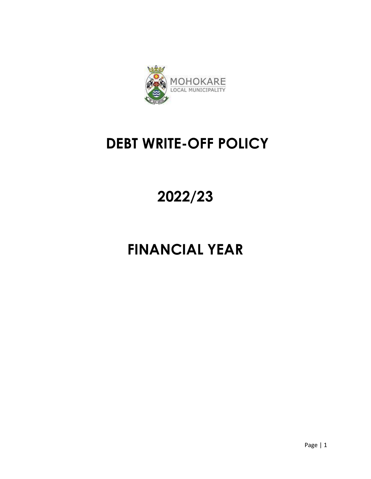

## **DEBT WRITE-OFF POLICY**

## **2022/23**

# **FINANCIAL YEAR**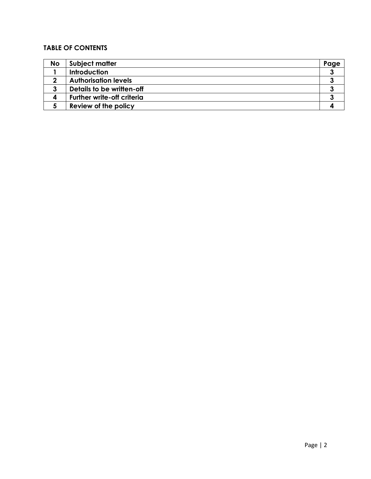### **TABLE OF CONTENTS**

| No | Subject matter                    | Page |
|----|-----------------------------------|------|
|    | <b>Introduction</b>               |      |
|    | <b>Authorisation levels</b>       |      |
|    | Details to be written-off         |      |
|    | <b>Further write-off criteria</b> |      |
|    | Review of the policy              |      |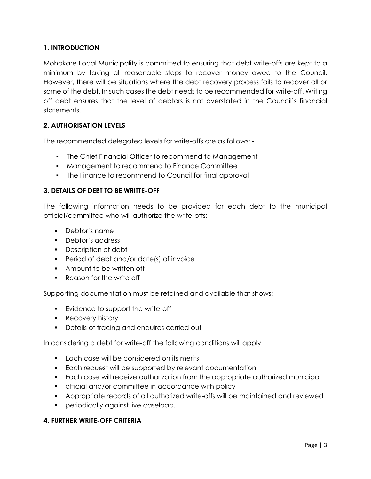#### **1. INTRODUCTION**

Mohokare Local Municipality is committed to ensuring that debt write-offs are kept to a minimum by taking all reasonable steps to recover money owed to the Council. However, there will be situations where the debt recovery process fails to recover all or some of the debt. In such cases the debt needs to be recommended for write-off. Writing off debt ensures that the level of debtors is not overstated in the Council's financial statements.

#### **2. AUTHORISATION LEVELS**

The recommended delegated levels for write-offs are as follows: -

- The Chief Financial Officer to recommend to Management
- **Management to recommend to Finance Committee**
- The Finance to recommend to Council for final approval

#### **3. DETAILS OF DEBT TO BE WRITTE-OFF**

The following information needs to be provided for each debt to the municipal official/committee who will authorize the write-offs:

- Debtor's name
- Debtor's address
- **Description of debt**
- **Period of debt and/or date(s) of invoice**
- Amount to be written off
- Reason for the write off

Supporting documentation must be retained and available that shows:

- **Evidence to support the write-off**
- **Recovery history**
- **•** Details of tracing and enquires carried out

In considering a debt for write-off the following conditions will apply:

- **Each case will be considered on its merits**
- Each request will be supported by relevant documentation
- Each case will receive authorization from the appropriate authorized municipal
- official and/or committee in accordance with policy
- Appropriate records of all authorized write-offs will be maintained and reviewed
- **•** periodically against live caseload.

#### **4. FURTHER WRITE-OFF CRITERIA**